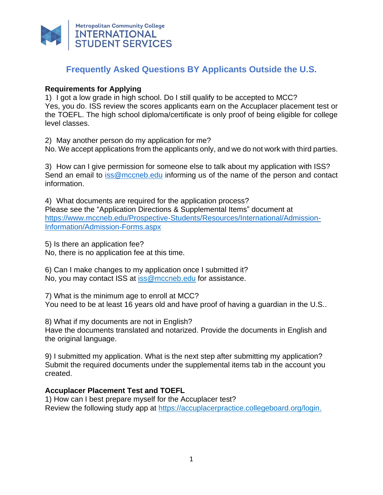

# **Frequently Asked Questions BY Applicants Outside the U.S.**

## **Requirements for Applying**

1) I got a low grade in high school. Do I still qualify to be accepted to MCC? Yes, you do. ISS review the scores applicants earn on the Accuplacer placement test or the TOEFL. The high school diploma/certificate is only proof of being eligible for college level classes.

2) May another person do my application for me? No. We accept applications from the applicants only, and we do not work with third parties.

3) How can I give permission for someone else to talk about my application with ISS? Send an email to [iss@mccneb.edu](mailto:iss@mccneb.edu) informing us of the name of the person and contact information.

4) What documents are required for the application process? Please see the "Application Directions & Supplemental Items" document at [https://www.mccneb.edu/Prospective-Students/Resources/International/Admission-](https://www.mccneb.edu/Prospective-Students/Resources/International/Admission-Information/Admission-Forms.aspx)[Information/Admission-Forms.aspx](https://www.mccneb.edu/Prospective-Students/Resources/International/Admission-Information/Admission-Forms.aspx)

5) Is there an application fee? No, there is no application fee at this time.

6) Can I make changes to my application once I submitted it? No, you may contact ISS at [iss@mccneb.edu](mailto:iss@mccneb.edu) for assistance.

7) What is the minimum age to enroll at MCC? You need to be at least 16 years old and have proof of having a guardian in the U.S..

8) What if my documents are not in English? Have the documents translated and notarized. Provide the documents in English and the original language.

9) I submitted my application. What is the next step after submitting my application? Submit the required documents under the supplemental items tab in the account you created.

## **Accuplacer Placement Test and TOEFL**

1) How can I best prepare myself for the Accuplacer test? Review the following study app at [https://accuplacerpractice.collegeboard.org/login.](https://accuplacerpractice.collegeboard.org/login)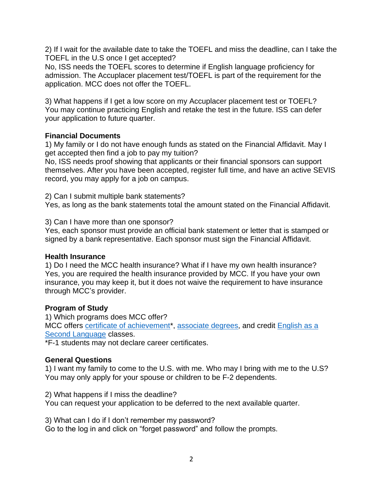2) If I wait for the available date to take the TOEFL and miss the deadline, can I take the TOEFL in the U.S once I get accepted?

No, ISS needs the TOEFL scores to determine if English language proficiency for admission. The Accuplacer placement test/TOEFL is part of the requirement for the application. MCC does not offer the TOEFL.

3) What happens if I get a low score on my Accuplacer placement test or TOEFL? You may continue practicing English and retake the test in the future. ISS can defer your application to future quarter.

## **Financial Documents**

1) My family or I do not have enough funds as stated on the Financial Affidavit. May I get accepted then find a job to pay my tuition?

No, ISS needs proof showing that applicants or their financial sponsors can support themselves. After you have been accepted, register full time, and have an active SEVIS record, you may apply for a job on campus.

2) Can I submit multiple bank statements?

Yes, as long as the bank statements total the amount stated on the Financial Affidavit.

3) Can I have more than one sponsor?

Yes, each sponsor must provide an official bank statement or letter that is stamped or signed by a bank representative. Each sponsor must sign the Financial Affidavit.

## **Health Insurance**

1) Do I need the MCC health insurance? What if I have my own health insurance? Yes, you are required the health insurance provided by MCC. If you have your own insurance, you may keep it, but it does not waive the requirement to have insurance through MCC's provider.

# **Program of Study**

1) Which programs does MCC offer? MCC offers [certificate of achievement\\*](https://www.mccneb.edu/Academics/Programs-of-Study.aspx), [associate degrees,](https://www.mccneb.edu/Academics/Programs-of-Study.aspx) and credit English as a [Second Language](https://www.mccneb.edu/Academics/Academic-Affairs/Dean-and-Support-Areas/Academic-Success/ESL.aspx) classes.

\*F-1 students may not declare career certificates.

# **General Questions**

1) I want my family to come to the U.S. with me. Who may I bring with me to the U.S? You may only apply for your spouse or children to be F-2 dependents.

2) What happens if I miss the deadline?

You can request your application to be deferred to the next available quarter.

3) What can I do if I don't remember my password?

Go to the log in and click on "forget password" and follow the prompts.